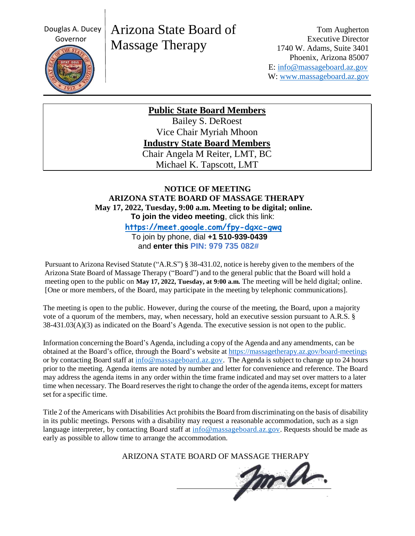Douglas A. Ducey



# Arizona State Board of Massage Therapy

Tom Augherton Executive Director 1740 W. Adams, Suite 3401 Phoenix, Arizona 85007 E: [info@massageboard.az.gov](mailto:info@massageboard.az.gov) W: [www.massageboard.az.gov](http://www.massageboard.az.gov/)

**Public State Board Members**

Bailey S. DeRoest Vice Chair Myriah Mhoon **Industry State Board Members** Chair Angela M Reiter, LMT, BC Michael K. Tapscott, LMT

## **NOTICE OF MEETING ARIZONA STATE BOARD OF MASSAGE THERAPY May 17, 2022, Tuesday, 9:00 a.m. Meeting to be digital; online. To join the video meeting**, click this link:

 **<https://meet.google.com/fpy-dgxc-gwq>** To join by phone, dial **+1 510-939-0439**

and **enter this PIN: 979 735 082#**

Pursuant to Arizona Revised Statute ("A.R.S") § 38-431.02, notice is hereby given to the members of the Arizona State Board of Massage Therapy ("Board") and to the general public that the Board will hold a meeting open to the public on **May 17, 2022, Tuesday, at 9:00 a.m.** The meeting will be held digital; online. [One or more members, of the Board, may participate in the meeting by telephonic communications].

The meeting is open to the public. However, during the course of the meeting, the Board, upon a majority vote of a quorum of the members, may, when necessary, hold an executive session pursuant to A.R.S. § 38-431.03(A)(3) as indicated on the Board's Agenda. The executive session is not open to the public.

Information concerning the Board's Agenda, including a copy of the Agenda and any amendments, can be obtained at the Board's office, through the Board's website at<https://massagetherapy.az.gov/board-meetings> or by contacting Board staff at  $\frac{info@massageboard.az.gov}$ . The Agenda is subject to change up to 24 hours prior to the meeting. Agenda items are noted by number and letter for convenience and reference. The Board may address the agenda items in any order within the time frame indicated and may set over matters to a later time when necessary. The Board reservesthe right to change the order of the agenda items, except for matters set for a specific time.

Title 2 of the Americans with Disabilities Act prohibits the Board from discriminating on the basis of disability in its public meetings. Persons with a disability may request a reasonable accommodation, such as a sign language interpreter, by contacting Board staff at [info@massageboard.az.gov.](mailto:info@massageboard.az.gov) Requests should be made as early as possible to allow time to arrange the accommodation.

ARIZONA STATE BOARD OF MASSAGE THERAPY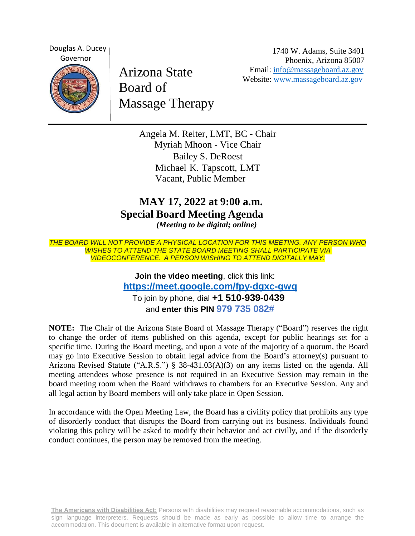Douglas A. Ducey Governor

Arizona State Board of Massage Therapy

1740 W. Adams, Suite 3401 Phoenix, Arizona 85007 Email: [info@massageboard.az.gov](mailto:info@massageboard.az.gov) Website: [www.massageboard.az.gov](http://www.massageboard.az.gov/)

Angela M. Reiter, LMT, BC - Chair Myriah Mhoon - Vice Chair Bailey S. DeRoest Michael K. Tapscott, LMT Vacant, Public Member

# **MAY 17, 2022 at 9:00 a.m. Special Board Meeting Agenda** *(Meeting to be digital; online)*

*THE BOARD WILL NOT PROVIDE A PHYSICAL LOCATION FOR THIS MEETING. ANY PERSON WHO WISHES TO ATTEND THE STATE BOARD MEETING SHALL PARTICIPATE VIA VIDEOCONFERENCE. A PERSON WISHING TO ATTEND DIGITALLY MAY:*

> **Join the video meeting**, click this link: **<https://meet.google.com/fpy-dgxc-gwq>** To join by phone, dial **+1 510-939-0439** and **enter this PIN 979 735 082#**

**NOTE:** The Chair of the Arizona State Board of Massage Therapy ("Board") reserves the right to change the order of items published on this agenda, except for public hearings set for a specific time. During the Board meeting, and upon a vote of the majority of a quorum, the Board may go into Executive Session to obtain legal advice from the Board's attorney(s) pursuant to Arizona Revised Statute ("A.R.S.") § 38-431.03(A)(3) on any items listed on the agenda. All meeting attendees whose presence is not required in an Executive Session may remain in the board meeting room when the Board withdraws to chambers for an Executive Session. Any and all legal action by Board members will only take place in Open Session.

In accordance with the Open Meeting Law, the Board has a civility policy that prohibits any type of disorderly conduct that disrupts the Board from carrying out its business. Individuals found violating this policy will be asked to modify their behavior and act civilly, and if the disorderly conduct continues, the person may be removed from the meeting.

**The Americans with Disabilities Act:** Persons with disabilities may request reasonable accommodations, such as sign language interpreters. Requests should be made as early as possible to allow time to arrange the accommodation. This document is available in alternative format upon request.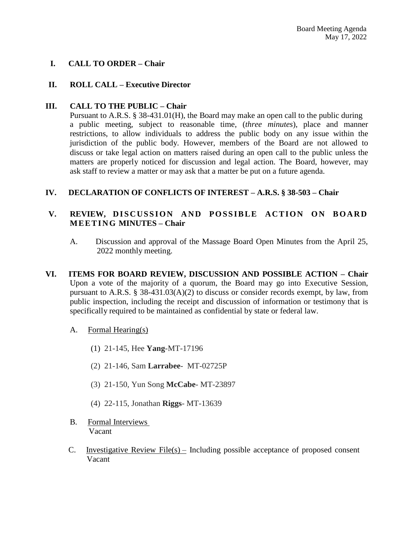### **I. CALL TO ORDER – Chair**

#### **II. ROLL CALL – Executive Director**

#### **III. CALL TO THE PUBLIC – Chair**

Pursuant to A.R.S. § 38-431.01(H), the Board may make an open call to the public during a public meeting, subject to reasonable time, (*three minutes*), place and manner restrictions, to allow individuals to address the public body on any issue within the jurisdiction of the public body. However, members of the Board are not allowed to discuss or take legal action on matters raised during an open call to the public unless the matters are properly noticed for discussion and legal action. The Board, however, may ask staff to review a matter or may ask that a matter be put on a future agenda.

#### **IV. DECLARATION OF CONFLICTS OF INTEREST – A.R.S. § 38-503 – Chair**

#### V. REVIEW, DISCUSSION AND POSSIBLE ACTION ON BOARD **M E E T I N G MINUTES – Chair**

- A. Discussion and approval of the Massage Board Open Minutes from the April 25, 2022 monthly meeting.
- **VI. ITEMS FOR BOARD REVIEW, DISCUSSION AND POSSIBLE ACTION – Chair**  Upon a vote of the majority of a quorum, the Board may go into Executive Session, pursuant to A.R.S. § 38-431.03(A)(2) to discuss or consider records exempt, by law, from public inspection, including the receipt and discussion of information or testimony that is specifically required to be maintained as confidential by state or federal law.
	- A. Formal Hearing(s)
		- (1) 21-145, Hee **Yang**-MT-17196
		- (2) 21-146, Sam **Larrabee** MT-02725P
		- (3) 21-150, Yun Song **McCabe** MT-23897
		- (4) 22-115, Jonathan **Riggs** MT-13639
	- B. Formal Interviews Vacant
	- C. Investigative Review File(s) Including possible acceptance of proposed consent Vacant